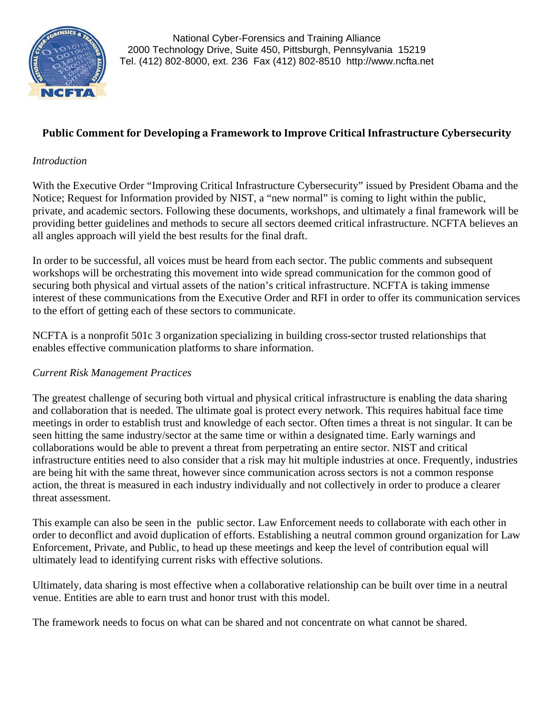

# **Public Comment for Developing a Framework to Improve Critical Infrastructure Cybersecurity**

## *Introduction*

With the Executive Order "Improving Critical Infrastructure Cybersecurity" issued by President Obama and the Notice; Request for Information provided by NIST, a "new normal" is coming to light within the public, private, and academic sectors. Following these documents, workshops, and ultimately a final framework will be providing better guidelines and methods to secure all sectors deemed critical infrastructure. NCFTA believes an all angles approach will yield the best results for the final draft.

In order to be successful, all voices must be heard from each sector. The public comments and subsequent workshops will be orchestrating this movement into wide spread communication for the common good of securing both physical and virtual assets of the nation's critical infrastructure. NCFTA is taking immense interest of these communications from the Executive Order and RFI in order to offer its communication services to the effort of getting each of these sectors to communicate.

NCFTA is a nonprofit 501c 3 organization specializing in building cross-sector trusted relationships that enables effective communication platforms to share information.

## *Current Risk Management Practices*

The greatest challenge of securing both virtual and physical critical infrastructure is enabling the data sharing and collaboration that is needed. The ultimate goal is protect every network. This requires habitual face time meetings in order to establish trust and knowledge of each sector. Often times a threat is not singular. It can be seen hitting the same industry/sector at the same time or within a designated time. Early warnings and collaborations would be able to prevent a threat from perpetrating an entire sector. NIST and critical infrastructure entities need to also consider that a risk may hit multiple industries at once. Frequently, industries are being hit with the same threat, however since communication across sectors is not a common response action, the threat is measured in each industry individually and not collectively in order to produce a clearer threat assessment.

This example can also be seen in the public sector. Law Enforcement needs to collaborate with each other in order to deconflict and avoid duplication of efforts. Establishing a neutral common ground organization for Law Enforcement, Private, and Public, to head up these meetings and keep the level of contribution equal will ultimately lead to identifying current risks with effective solutions.

Ultimately, data sharing is most effective when a collaborative relationship can be built over time in a neutral venue. Entities are able to earn trust and honor trust with this model.

The framework needs to focus on what can be shared and not concentrate on what cannot be shared.